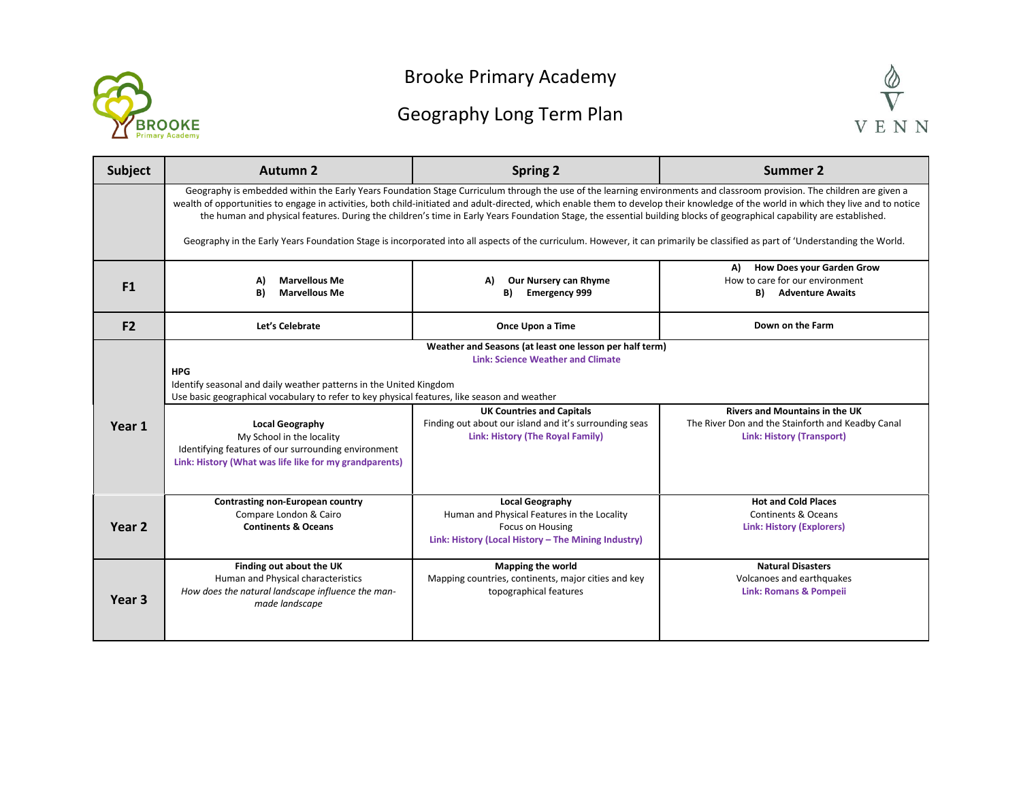

## Brooke Primary Academy

## Geography Long Term Plan



| <b>Subject</b>    | Autumn 2                                                                                                                                                                                                                                                                                                                                                                                                                                                                                                                                  | <b>Spring 2</b>                                                                                                                                                                                                                       | <b>Summer 2</b>                                                                                                                |  |
|-------------------|-------------------------------------------------------------------------------------------------------------------------------------------------------------------------------------------------------------------------------------------------------------------------------------------------------------------------------------------------------------------------------------------------------------------------------------------------------------------------------------------------------------------------------------------|---------------------------------------------------------------------------------------------------------------------------------------------------------------------------------------------------------------------------------------|--------------------------------------------------------------------------------------------------------------------------------|--|
|                   | Geography is embedded within the Early Years Foundation Stage Curriculum through the use of the learning environments and classroom provision. The children are given a<br>wealth of opportunities to engage in activities, both child-initiated and adult-directed, which enable them to develop their knowledge of the world in which they live and to notice<br>the human and physical features. During the children's time in Early Years Foundation Stage, the essential building blocks of geographical capability are established. |                                                                                                                                                                                                                                       |                                                                                                                                |  |
|                   | Geography in the Early Years Foundation Stage is incorporated into all aspects of the curriculum. However, it can primarily be classified as part of 'Understanding the World.                                                                                                                                                                                                                                                                                                                                                            |                                                                                                                                                                                                                                       |                                                                                                                                |  |
| F1                | <b>Marvellous Me</b><br>A)<br>B)<br><b>Marvellous Me</b>                                                                                                                                                                                                                                                                                                                                                                                                                                                                                  | Our Nursery can Rhyme<br>A)<br><b>Emergency 999</b><br>B)                                                                                                                                                                             | <b>How Does your Garden Grow</b><br>A)<br>How to care for our environment<br>B)<br><b>Adventure Awaits</b>                     |  |
| F <sub>2</sub>    | Let's Celebrate                                                                                                                                                                                                                                                                                                                                                                                                                                                                                                                           | Once Upon a Time                                                                                                                                                                                                                      | Down on the Farm                                                                                                               |  |
| Year 1            | <b>HPG</b><br>Identify seasonal and daily weather patterns in the United Kingdom<br>Use basic geographical vocabulary to refer to key physical features, like season and weather<br><b>Local Geography</b><br>My School in the locality<br>Identifying features of our surrounding environment<br>Link: History (What was life like for my grandparents)                                                                                                                                                                                  | Weather and Seasons (at least one lesson per half term)<br><b>Link: Science Weather and Climate</b><br><b>UK Countries and Capitals</b><br>Finding out about our island and it's surrounding seas<br>Link: History (The Royal Family) | <b>Rivers and Mountains in the UK</b><br>The River Don and the Stainforth and Keadby Canal<br><b>Link: History (Transport)</b> |  |
| Year <sub>2</sub> | Contrasting non-European country<br>Compare London & Cairo<br><b>Continents &amp; Oceans</b>                                                                                                                                                                                                                                                                                                                                                                                                                                              | <b>Local Geography</b><br>Human and Physical Features in the Locality<br>Focus on Housing<br>Link: History (Local History - The Mining Industry)                                                                                      | <b>Hot and Cold Places</b><br>Continents & Oceans<br><b>Link: History (Explorers)</b>                                          |  |
| Year <sub>3</sub> | Finding out about the UK<br>Human and Physical characteristics<br>How does the natural landscape influence the man-<br>made landscape                                                                                                                                                                                                                                                                                                                                                                                                     | Mapping the world<br>Mapping countries, continents, major cities and key<br>topographical features                                                                                                                                    | <b>Natural Disasters</b><br>Volcanoes and earthquakes<br><b>Link: Romans &amp; Pompeii</b>                                     |  |